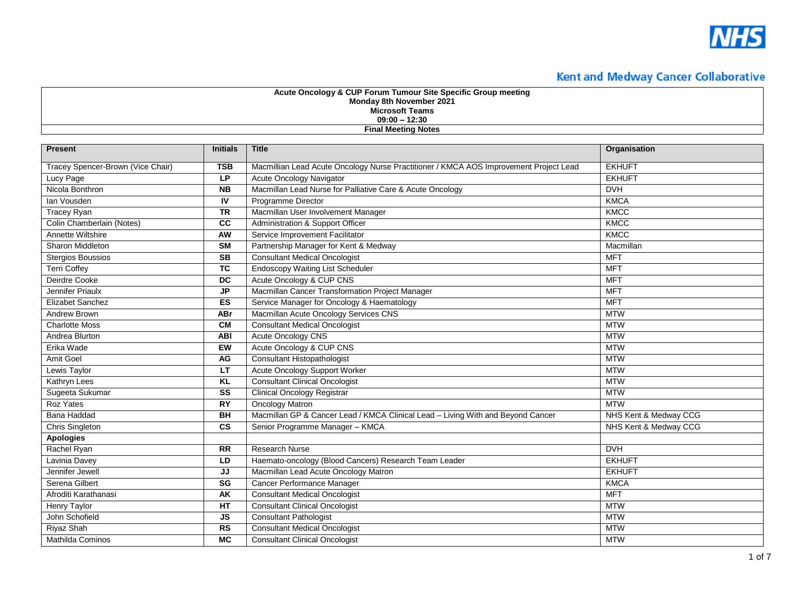

| Monday 8th November 2021<br><b>Microsoft Teams</b><br>$09:00 - 12:30$<br><b>Final Meeting Notes</b> |                          |                                                                                       |                       |
|-----------------------------------------------------------------------------------------------------|--------------------------|---------------------------------------------------------------------------------------|-----------------------|
| <b>Present</b>                                                                                      | <b>Initials</b>          | <b>Title</b>                                                                          | Organisation          |
| Tracey Spencer-Brown (Vice Chair)                                                                   | <b>TSB</b>               | Macmillian Lead Acute Oncology Nurse Practitioner / KMCA AOS Improvement Project Lead | <b>EKHUFT</b>         |
| Lucy Page                                                                                           | <b>LP</b>                | Acute Oncology Navigator                                                              | <b>EKHUFT</b>         |
| Nicola Bonthron                                                                                     | <b>NB</b>                | Macmillan Lead Nurse for Palliative Care & Acute Oncology                             | <b>DVH</b>            |
| lan Vousden                                                                                         | IV                       | <b>Programme Director</b>                                                             | <b>KMCA</b>           |
| <b>Tracey Ryan</b>                                                                                  | <b>TR</b>                | Macmillan User Involvement Manager                                                    | <b>KMCC</b>           |
| Colin Chamberlain (Notes)                                                                           | cc                       | Administration & Support Officer                                                      | KMCC                  |
| Annette Wiltshire                                                                                   | AW                       | Service Improvement Facilitator                                                       | KMCC                  |
| Sharon Middleton                                                                                    | <b>SM</b>                | Partnership Manager for Kent & Medway                                                 | Macmillan             |
| <b>Stergios Boussios</b>                                                                            | <b>SB</b>                | <b>Consultant Medical Oncologist</b>                                                  | <b>MFT</b>            |
| <b>Terri Coffey</b>                                                                                 | $\overline{\mathsf{TC}}$ | <b>Endoscopy Waiting List Scheduler</b>                                               | <b>MFT</b>            |
| Deirdre Cooke                                                                                       | <b>DC</b>                | Acute Oncology & CUP CNS                                                              | <b>MFT</b>            |
| Jennifer Priaulx                                                                                    | $\mathsf{JP}$            | Macmillan Cancer Transformation Project Manager                                       | <b>MFT</b>            |
| Elizabet Sanchez                                                                                    | <b>ES</b>                | Service Manager for Oncology & Haematology                                            | <b>MFT</b>            |
| <b>Andrew Brown</b>                                                                                 | <b>ABr</b>               | Macmillan Acute Oncology Services CNS                                                 | <b>MTW</b>            |
| <b>Charlotte Moss</b>                                                                               | <b>CM</b>                | <b>Consultant Medical Oncologist</b>                                                  | <b>MTW</b>            |
| Andrea Blurton                                                                                      | ABI                      | <b>Acute Oncology CNS</b>                                                             | <b>MTW</b>            |
| Erika Wade                                                                                          | EW                       | Acute Oncology & CUP CNS                                                              | <b>MTW</b>            |
| Amit Goel                                                                                           | AG                       | <b>Consultant Histopathologist</b>                                                    | <b>MTW</b>            |
| Lewis Taylor                                                                                        | <b>LT</b>                | Acute Oncology Support Worker                                                         | <b>MTW</b>            |
| <b>Kathryn Lees</b>                                                                                 | <b>KL</b>                | <b>Consultant Clinical Oncologist</b>                                                 | <b>MTW</b>            |
| Sugeeta Sukumar                                                                                     | SS                       | <b>Clinical Oncology Registrar</b>                                                    | <b>MTW</b>            |
| Roz Yates                                                                                           | <b>RY</b>                | <b>Oncology Matron</b>                                                                | <b>MTW</b>            |
| <b>Bana Haddad</b>                                                                                  | $\overline{BH}$          | Macmillan GP & Cancer Lead / KMCA Clinical Lead - Living With and Beyond Cancer       | NHS Kent & Medway CCG |
| <b>Chris Singleton</b>                                                                              | $\overline{\text{cs}}$   | Senior Programme Manager - KMCA                                                       | NHS Kent & Medway CCG |
| <b>Apologies</b>                                                                                    |                          |                                                                                       |                       |
| Rachel Ryan                                                                                         | <b>RR</b>                | <b>Research Nurse</b>                                                                 | <b>DVH</b>            |
| Lavinia Davey                                                                                       | LD                       | Haemato-oncology (Blood Cancers) Research Team Leader                                 | <b>EKHUFT</b>         |
| Jennifer Jewell                                                                                     | JJ                       | Macmillan Lead Acute Oncology Matron                                                  | <b>EKHUFT</b>         |
| Serena Gilbert                                                                                      | SG                       | Cancer Performance Manager                                                            | <b>KMCA</b>           |
| Afroditi Karathanasi                                                                                | AK                       | <b>Consultant Medical Oncologist</b>                                                  | <b>MFT</b>            |
| <b>Henry Taylor</b>                                                                                 | $H$ T                    | <b>Consultant Clinical Oncologist</b>                                                 | <b>MTW</b>            |
| John Schofield                                                                                      | <b>JS</b>                | <b>Consultant Pathologist</b>                                                         | <b>MTW</b>            |
| <b>Riyaz Shah</b>                                                                                   | RS                       | <b>Consultant Medical Oncologist</b>                                                  | <b>MTW</b>            |
| Mathilda Cominos                                                                                    | <b>MC</b>                | <b>Consultant Clinical Oncologist</b>                                                 | <b>MTW</b>            |

**Acute Oncology & CUP Forum Tumour Site Specific Group meeting**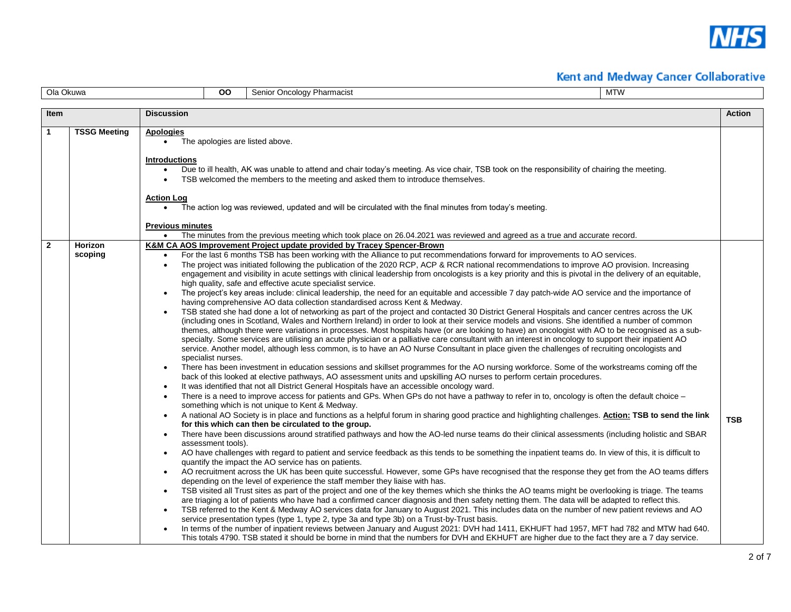

| Ola Okuwa    |                     | <b>OO</b>                                                                                                                      | Senior Oncology Pharmacist               |                                                                                                                                                                                                                                                                                                                                                                                                                                                                                                                                                                                                                                                                             | <b>MTW</b>                                                                                                                                                                                                                                                                                                                                                                                                                                                                                                                                                                                                                                                                                                                                                                                                                                                                                                                                                                                                                                                                                                                                                                                                                                                                                                                                                                                                                                                                                                                                                                                                                                                                                                                                                                                                                                                                                                                                                                                                                                                                                                                                                                                                                                                                                                                                                                                                                                                                                                                                                                                                                                                                                                                                                                                                                                                                                                                                                                                                                                                                                                                                                                            |  |               |
|--------------|---------------------|--------------------------------------------------------------------------------------------------------------------------------|------------------------------------------|-----------------------------------------------------------------------------------------------------------------------------------------------------------------------------------------------------------------------------------------------------------------------------------------------------------------------------------------------------------------------------------------------------------------------------------------------------------------------------------------------------------------------------------------------------------------------------------------------------------------------------------------------------------------------------|---------------------------------------------------------------------------------------------------------------------------------------------------------------------------------------------------------------------------------------------------------------------------------------------------------------------------------------------------------------------------------------------------------------------------------------------------------------------------------------------------------------------------------------------------------------------------------------------------------------------------------------------------------------------------------------------------------------------------------------------------------------------------------------------------------------------------------------------------------------------------------------------------------------------------------------------------------------------------------------------------------------------------------------------------------------------------------------------------------------------------------------------------------------------------------------------------------------------------------------------------------------------------------------------------------------------------------------------------------------------------------------------------------------------------------------------------------------------------------------------------------------------------------------------------------------------------------------------------------------------------------------------------------------------------------------------------------------------------------------------------------------------------------------------------------------------------------------------------------------------------------------------------------------------------------------------------------------------------------------------------------------------------------------------------------------------------------------------------------------------------------------------------------------------------------------------------------------------------------------------------------------------------------------------------------------------------------------------------------------------------------------------------------------------------------------------------------------------------------------------------------------------------------------------------------------------------------------------------------------------------------------------------------------------------------------------------------------------------------------------------------------------------------------------------------------------------------------------------------------------------------------------------------------------------------------------------------------------------------------------------------------------------------------------------------------------------------------------------------------------------------------------------------------------------------------|--|---------------|
| Item         |                     | <b>Discussion</b>                                                                                                              |                                          |                                                                                                                                                                                                                                                                                                                                                                                                                                                                                                                                                                                                                                                                             |                                                                                                                                                                                                                                                                                                                                                                                                                                                                                                                                                                                                                                                                                                                                                                                                                                                                                                                                                                                                                                                                                                                                                                                                                                                                                                                                                                                                                                                                                                                                                                                                                                                                                                                                                                                                                                                                                                                                                                                                                                                                                                                                                                                                                                                                                                                                                                                                                                                                                                                                                                                                                                                                                                                                                                                                                                                                                                                                                                                                                                                                                                                                                                                       |  | <b>Action</b> |
| 1            | <b>TSSG Meeting</b> | Apologies<br>$\bullet$<br><b>Introductions</b><br><b>Action Log</b><br>$\bullet$<br><b>Previous minutes</b>                    |                                          | The apologies are listed above.<br>TSB welcomed the members to the meeting and asked them to introduce themselves.<br>The action log was reviewed, updated and will be circulated with the final minutes from today's meeting.                                                                                                                                                                                                                                                                                                                                                                                                                                              | Due to ill health, AK was unable to attend and chair today's meeting. As vice chair, TSB took on the responsibility of chairing the meeting.<br>The minutes from the previous meeting which took place on 26.04.2021 was reviewed and agreed as a true and accurate record.                                                                                                                                                                                                                                                                                                                                                                                                                                                                                                                                                                                                                                                                                                                                                                                                                                                                                                                                                                                                                                                                                                                                                                                                                                                                                                                                                                                                                                                                                                                                                                                                                                                                                                                                                                                                                                                                                                                                                                                                                                                                                                                                                                                                                                                                                                                                                                                                                                                                                                                                                                                                                                                                                                                                                                                                                                                                                                           |  |               |
| $\mathbf{2}$ | Horizon<br>scoping  | $\bullet$<br>$\bullet$<br>$\bullet$<br>$\bullet$<br>$\bullet$<br>$\bullet$<br>$\bullet$<br>$\bullet$<br>$\bullet$<br>$\bullet$ | specialist nurses.<br>assessment tools). | <b>K&amp;M CA AOS Improvement Project update provided by Tracey Spencer-Brown</b><br>high quality, safe and effective acute specialist service.<br>having comprehensive AO data collection standardised across Kent & Medway.<br>It was identified that not all District General Hospitals have an accessible oncology ward.<br>something which is not unique to Kent & Medway.<br>for this which can then be circulated to the group.<br>quantify the impact the AO service has on patients.<br>depending on the level of experience the staff member they liaise with has.<br>service presentation types (type 1, type 2, type 3a and type 3b) on a Trust-by-Trust basis. | For the last 6 months TSB has been working with the Alliance to put recommendations forward for improvements to AO services.<br>The project was initiated following the publication of the 2020 RCP, ACP & RCR national recommendations to improve AO provision. Increasing<br>engagement and visibility in acute settings with clinical leadership from oncologists is a key priority and this is pivotal in the delivery of an equitable,<br>The project's key areas include: clinical leadership, the need for an equitable and accessible 7 day patch-wide AO service and the importance of<br>TSB stated she had done a lot of networking as part of the project and contacted 30 District General Hospitals and cancer centres across the UK<br>(including ones in Scotland, Wales and Northern Ireland) in order to look at their service models and visions. She identified a number of common<br>themes, although there were variations in processes. Most hospitals have (or are looking to have) an oncologist with AO to be recognised as a sub-<br>specialty. Some services are utilising an acute physician or a palliative care consultant with an interest in oncology to support their inpatient AO<br>service. Another model, although less common, is to have an AO Nurse Consultant in place given the challenges of recruiting oncologists and<br>There has been investment in education sessions and skillset programmes for the AO nursing workforce. Some of the workstreams coming off the<br>back of this looked at elective pathways, AO assessment units and upskilling AO nurses to perform certain procedures.<br>There is a need to improve access for patients and GPs. When GPs do not have a pathway to refer in to, oncology is often the default choice -<br>A national AO Society is in place and functions as a helpful forum in sharing good practice and highlighting challenges. Action: TSB to send the link<br>There have been discussions around stratified pathways and how the AO-led nurse teams do their clinical assessments (including holistic and SBAR<br>AO have challenges with regard to patient and service feedback as this tends to be something the inpatient teams do. In view of this, it is difficult to<br>AO recruitment across the UK has been quite successful. However, some GPs have recognised that the response they get from the AO teams differs<br>TSB visited all Trust sites as part of the project and one of the key themes which she thinks the AO teams might be overlooking is triage. The teams<br>are triaging a lot of patients who have had a confirmed cancer diagnosis and then safety netting them. The data will be adapted to reflect this.<br>TSB referred to the Kent & Medway AO services data for January to August 2021. This includes data on the number of new patient reviews and AO<br>In terms of the number of inpatient reviews between January and August 2021: DVH had 1411, EKHUFT had 1957, MFT had 782 and MTW had 640.<br>This totals 4790. TSB stated it should be borne in mind that the numbers for DVH and EKHUFT are higher due to the fact they are a 7 day service. |  | <b>TSB</b>    |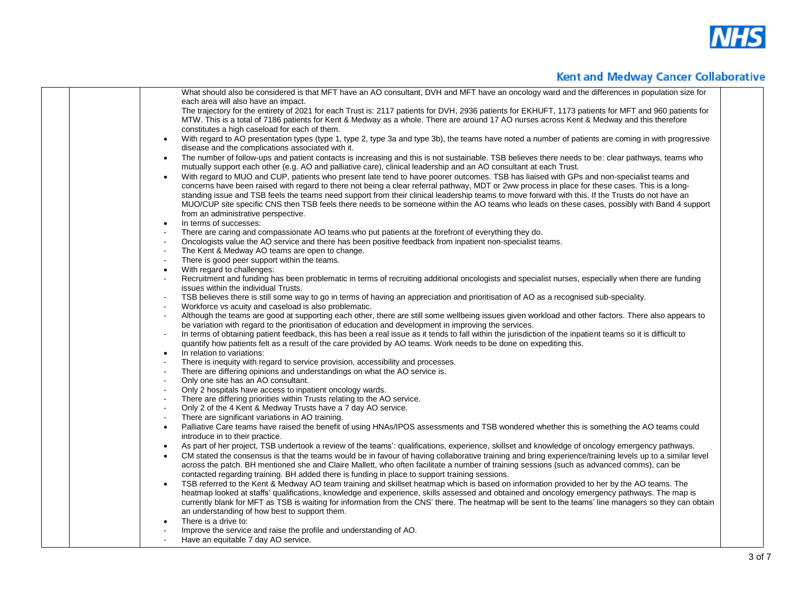

|                | What should also be considered is that MFT have an AO consultant, DVH and MFT have an oncology ward and the differences in population size for                                                                                                                                             |
|----------------|--------------------------------------------------------------------------------------------------------------------------------------------------------------------------------------------------------------------------------------------------------------------------------------------|
|                | each area will also have an impact.                                                                                                                                                                                                                                                        |
|                | The trajectory for the entirety of 2021 for each Trust is: 2117 patients for DVH, 2936 patients for EKHUFT, 1173 patients for MFT and 960 patients for                                                                                                                                     |
|                | MTW. This is a total of 7186 patients for Kent & Medway as a whole. There are around 17 AO nurses across Kent & Medway and this therefore                                                                                                                                                  |
|                | constitutes a high caseload for each of them.                                                                                                                                                                                                                                              |
|                | With regard to AO presentation types (type 1, type 2, type 3a and type 3b), the teams have noted a number of patients are coming in with progressive                                                                                                                                       |
|                | disease and the complications associated with it.                                                                                                                                                                                                                                          |
|                | The number of follow-ups and patient contacts is increasing and this is not sustainable. TSB believes there needs to be: clear pathways, teams who                                                                                                                                         |
|                | mutually support each other (e.g. AO and palliative care), clinical leadership and an AO consultant at each Trust.                                                                                                                                                                         |
|                | With regard to MUO and CUP, patients who present late tend to have poorer outcomes. TSB has liaised with GPs and non-specialist teams and                                                                                                                                                  |
|                | concerns have been raised with regard to there not being a clear referral pathway, MDT or 2ww process in place for these cases. This is a long-                                                                                                                                            |
|                | standing issue and TSB feels the teams need support from their clinical leadership teams to move forward with this. If the Trusts do not have an                                                                                                                                           |
|                | MUO/CUP site specific CNS then TSB feels there needs to be someone within the AO teams who leads on these cases, possibly with Band 4 support<br>from an administrative perspective.                                                                                                       |
|                | In terms of successes:                                                                                                                                                                                                                                                                     |
| $\bullet$      |                                                                                                                                                                                                                                                                                            |
|                | There are caring and compassionate AO teams who put patients at the forefront of everything they do.<br>Oncologists value the AO service and there has been positive feedback from inpatient non-specialist teams.                                                                         |
|                | The Kent & Medway AO teams are open to change.                                                                                                                                                                                                                                             |
| $\blacksquare$ | There is good peer support within the teams.                                                                                                                                                                                                                                               |
| $\bullet$      | With regard to challenges:                                                                                                                                                                                                                                                                 |
|                | Recruitment and funding has been problematic in terms of recruiting additional oncologists and specialist nurses, especially when there are funding                                                                                                                                        |
|                | issues within the individual Trusts.                                                                                                                                                                                                                                                       |
| $\blacksquare$ | TSB believes there is still some way to go in terms of having an appreciation and prioritisation of AO as a recognised sub-speciality.                                                                                                                                                     |
|                | Workforce vs acuity and caseload is also problematic.                                                                                                                                                                                                                                      |
|                | Although the teams are good at supporting each other, there are still some wellbeing issues given workload and other factors. There also appears to                                                                                                                                        |
|                | be variation with regard to the prioritisation of education and development in improving the services.                                                                                                                                                                                     |
|                | In terms of obtaining patient feedback, this has been a real issue as it tends to fall within the jurisdiction of the inpatient teams so it is difficult to                                                                                                                                |
|                | quantify how patients felt as a result of the care provided by AO teams. Work needs to be done on expediting this.                                                                                                                                                                         |
| $\bullet$      | In relation to variations:                                                                                                                                                                                                                                                                 |
|                | There is inequity with regard to service provision, accessibility and processes.                                                                                                                                                                                                           |
|                | There are differing opinions and understandings on what the AO service is.                                                                                                                                                                                                                 |
|                | Only one site has an AO consultant.                                                                                                                                                                                                                                                        |
|                | Only 2 hospitals have access to inpatient oncology wards.                                                                                                                                                                                                                                  |
|                | There are differing priorities within Trusts relating to the AO service.                                                                                                                                                                                                                   |
|                | Only 2 of the 4 Kent & Medway Trusts have a 7 day AO service.                                                                                                                                                                                                                              |
|                | There are significant variations in AO training.                                                                                                                                                                                                                                           |
| $\bullet$      | Palliative Care teams have raised the benefit of using HNAs/IPOS assessments and TSB wondered whether this is something the AO teams could                                                                                                                                                 |
|                | introduce in to their practice.                                                                                                                                                                                                                                                            |
| $\bullet$      | As part of her project, TSB undertook a review of the teams': qualifications, experience, skillset and knowledge of oncology emergency pathways.                                                                                                                                           |
| $\bullet$      | CM stated the consensus is that the teams would be in favour of having collaborative training and bring experience/training levels up to a similar level                                                                                                                                   |
|                | across the patch. BH mentioned she and Claire Mallett, who often facilitate a number of training sessions (such as advanced comms), can be                                                                                                                                                 |
|                | contacted regarding training. BH added there is funding in place to support training sessions.                                                                                                                                                                                             |
|                | TSB referred to the Kent & Medway AO team training and skillset heatmap which is based on information provided to her by the AO teams. The<br>heatmap looked at staffs' qualifications, knowledge and experience, skills assessed and obtained and oncology emergency pathways. The map is |
|                | currently blank for MFT as TSB is waiting for information from the CNS' there. The heatmap will be sent to the teams' line managers so they can obtain                                                                                                                                     |
|                | an understanding of how best to support them.                                                                                                                                                                                                                                              |
|                | There is a drive to:                                                                                                                                                                                                                                                                       |
|                | Improve the service and raise the profile and understanding of AO.                                                                                                                                                                                                                         |
|                | Have an equitable 7 day AO service.                                                                                                                                                                                                                                                        |
|                |                                                                                                                                                                                                                                                                                            |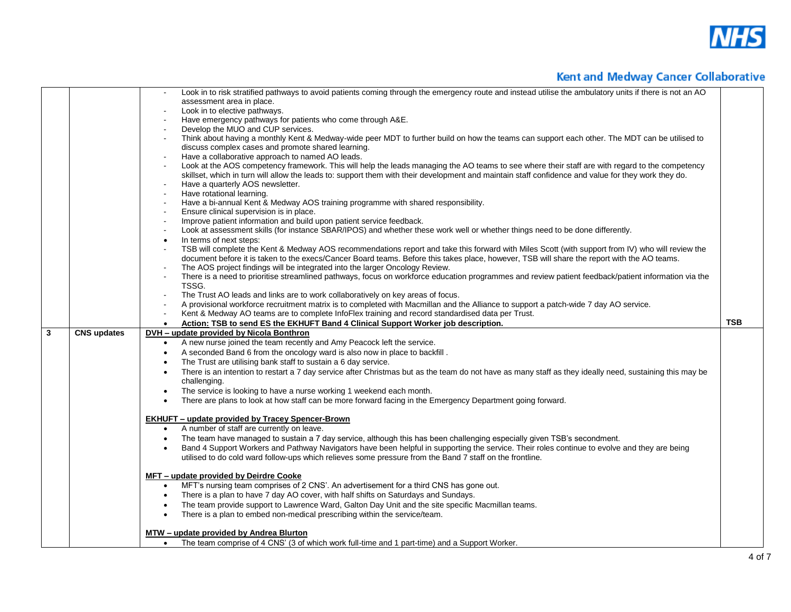

|                                                                                                                                      | Look in to risk stratified pathways to avoid patients coming through the emergency route and instead utilise the ambulatory units if there is not an AO |            |
|--------------------------------------------------------------------------------------------------------------------------------------|---------------------------------------------------------------------------------------------------------------------------------------------------------|------------|
| assessment area in place.                                                                                                            |                                                                                                                                                         |            |
| Look in to elective pathways.                                                                                                        |                                                                                                                                                         |            |
| Have emergency pathways for patients who come through A&E.<br>$\sim$                                                                 |                                                                                                                                                         |            |
| Develop the MUO and CUP services.                                                                                                    |                                                                                                                                                         |            |
|                                                                                                                                      | Think about having a monthly Kent & Medway-wide peer MDT to further build on how the teams can support each other. The MDT can be utilised to           |            |
| discuss complex cases and promote shared learning.                                                                                   |                                                                                                                                                         |            |
| Have a collaborative approach to named AO leads.                                                                                     |                                                                                                                                                         |            |
|                                                                                                                                      | Look at the AOS competency framework. This will help the leads managing the AO teams to see where their staff are with regard to the competency         |            |
|                                                                                                                                      | skillset, which in turn will allow the leads to: support them with their development and maintain staff confidence and value for they work they do.     |            |
| Have a quarterly AOS newsletter.                                                                                                     |                                                                                                                                                         |            |
| Have rotational learning.<br>$\blacksquare$                                                                                          |                                                                                                                                                         |            |
| Have a bi-annual Kent & Medway AOS training programme with shared responsibility.<br>$\sim$                                          |                                                                                                                                                         |            |
| Ensure clinical supervision is in place.<br>$\sim$                                                                                   |                                                                                                                                                         |            |
| Improve patient information and build upon patient service feedback.<br>$\sim$                                                       |                                                                                                                                                         |            |
| $\sim$                                                                                                                               | Look at assessment skills (for instance SBAR/IPOS) and whether these work well or whether things need to be done differently.                           |            |
| In terms of next steps:<br>$\bullet$                                                                                                 |                                                                                                                                                         |            |
| $\blacksquare$                                                                                                                       | TSB will complete the Kent & Medway AOS recommendations report and take this forward with Miles Scott (with support from IV) who will review the        |            |
|                                                                                                                                      | document before it is taken to the execs/Cancer Board teams. Before this takes place, however, TSB will share the report with the AO teams.             |            |
| The AOS project findings will be integrated into the larger Oncology Review.<br>$\sim$<br>$\sim$                                     |                                                                                                                                                         |            |
| TSSG.                                                                                                                                | There is a need to prioritise streamlined pathways, focus on workforce education programmes and review patient feedback/patient information via the     |            |
| The Trust AO leads and links are to work collaboratively on key areas of focus.                                                      |                                                                                                                                                         |            |
| $\sim$                                                                                                                               | A provisional workforce recruitment matrix is to completed with Macmillan and the Alliance to support a patch-wide 7 day AO service.                    |            |
| Kent & Medway AO teams are to complete InfoFlex training and record standardised data per Trust.                                     |                                                                                                                                                         |            |
| Action: TSB to send ES the EKHUFT Band 4 Clinical Support Worker job description.<br>$\bullet$                                       |                                                                                                                                                         | <b>TSB</b> |
| $\mathbf{3}$<br><b>CNS updates</b><br>DVH – update provided by Nicola Bonthron                                                       |                                                                                                                                                         |            |
| A new nurse joined the team recently and Amy Peacock left the service.<br>$\bullet$                                                  |                                                                                                                                                         |            |
| A seconded Band 6 from the oncology ward is also now in place to backfill.<br>$\bullet$                                              |                                                                                                                                                         |            |
|                                                                                                                                      |                                                                                                                                                         |            |
| The Trust are utilising bank staff to sustain a 6 day service.<br>$\bullet$                                                          |                                                                                                                                                         |            |
|                                                                                                                                      | There is an intention to restart a 7 day service after Christmas but as the team do not have as many staff as they ideally need, sustaining this may be |            |
| challenging.<br>$\bullet$                                                                                                            |                                                                                                                                                         |            |
| The service is looking to have a nurse working 1 weekend each month.                                                                 |                                                                                                                                                         |            |
| There are plans to look at how staff can be more forward facing in the Emergency Department going forward.                           |                                                                                                                                                         |            |
| <b>EKHUFT - update provided by Tracey Spencer-Brown</b>                                                                              |                                                                                                                                                         |            |
| A number of staff are currently on leave.<br>$\bullet$                                                                               |                                                                                                                                                         |            |
| The team have managed to sustain a 7 day service, although this has been challenging especially given TSB's secondment.<br>$\bullet$ |                                                                                                                                                         |            |
|                                                                                                                                      |                                                                                                                                                         |            |
|                                                                                                                                      |                                                                                                                                                         |            |
|                                                                                                                                      | Band 4 Support Workers and Pathway Navigators have been helpful in supporting the service. Their roles continue to evolve and they are being            |            |
|                                                                                                                                      | utilised to do cold ward follow-ups which relieves some pressure from the Band 7 staff on the frontline.                                                |            |
|                                                                                                                                      |                                                                                                                                                         |            |
| MFT – update provided by Deirdre Cooke                                                                                               |                                                                                                                                                         |            |
| MFT's nursing team comprises of 2 CNS'. An advertisement for a third CNS has gone out.<br>$\bullet$                                  |                                                                                                                                                         |            |
| There is a plan to have 7 day AO cover, with half shifts on Saturdays and Sundays.<br>$\bullet$                                      |                                                                                                                                                         |            |
| The team provide support to Lawrence Ward, Galton Day Unit and the site specific Macmillan teams.<br>$\bullet$                       |                                                                                                                                                         |            |
| There is a plan to embed non-medical prescribing within the service/team.<br>$\bullet$                                               |                                                                                                                                                         |            |
| MTW – update provided by Andrea Blurton                                                                                              |                                                                                                                                                         |            |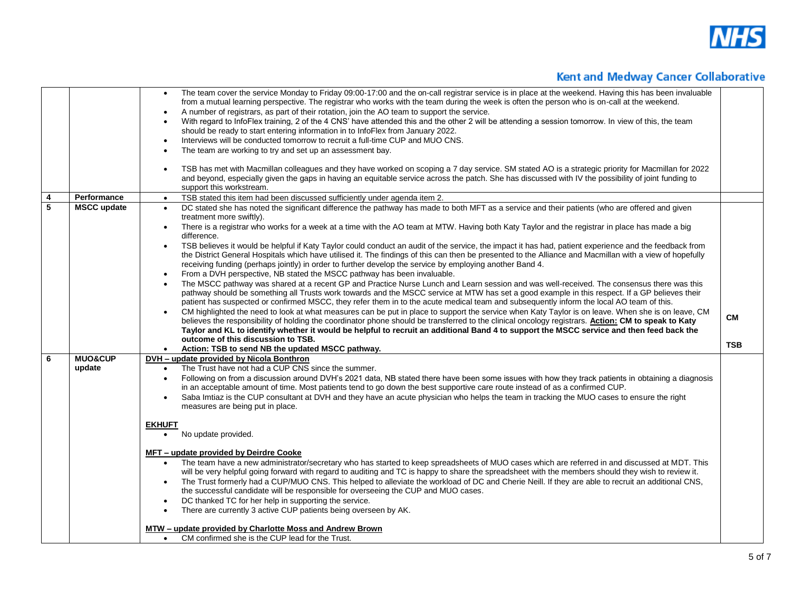

|                         |                              | The team cover the service Monday to Friday 09:00-17:00 and the on-call registrar service is in place at the weekend. Having this has been invaluable<br>$\bullet$<br>from a mutual learning perspective. The registrar who works with the team during the week is often the person who is on-call at the weekend.<br>A number of registrars, as part of their rotation, join the AO team to support the service.<br>$\bullet$<br>With regard to InfoFlex training, 2 of the 4 CNS' have attended this and the other 2 will be attending a session tomorrow. In view of this, the team<br>should be ready to start entering information in to InfoFlex from January 2022.<br>Interviews will be conducted tomorrow to recruit a full-time CUP and MUO CNS.<br>$\bullet$<br>The team are working to try and set up an assessment bay.                                                                                                                                                                                                                                                                                                                                                                                                                                                                                                                                                                                                                                                                                                                                                                                                                                                                                                                                                                                                      |                  |
|-------------------------|------------------------------|-------------------------------------------------------------------------------------------------------------------------------------------------------------------------------------------------------------------------------------------------------------------------------------------------------------------------------------------------------------------------------------------------------------------------------------------------------------------------------------------------------------------------------------------------------------------------------------------------------------------------------------------------------------------------------------------------------------------------------------------------------------------------------------------------------------------------------------------------------------------------------------------------------------------------------------------------------------------------------------------------------------------------------------------------------------------------------------------------------------------------------------------------------------------------------------------------------------------------------------------------------------------------------------------------------------------------------------------------------------------------------------------------------------------------------------------------------------------------------------------------------------------------------------------------------------------------------------------------------------------------------------------------------------------------------------------------------------------------------------------------------------------------------------------------------------------------------------------|------------------|
|                         |                              | TSB has met with Macmillan colleagues and they have worked on scoping a 7 day service. SM stated AO is a strategic priority for Macmillan for 2022<br>$\bullet$<br>and beyond, especially given the gaps in having an equitable service across the patch. She has discussed with IV the possibility of joint funding to<br>support this workstream.                                                                                                                                                                                                                                                                                                                                                                                                                                                                                                                                                                                                                                                                                                                                                                                                                                                                                                                                                                                                                                                                                                                                                                                                                                                                                                                                                                                                                                                                                       |                  |
| $\boldsymbol{4}$        | Performance                  | TSB stated this item had been discussed sufficiently under agenda item 2.<br>$\bullet$                                                                                                                                                                                                                                                                                                                                                                                                                                                                                                                                                                                                                                                                                                                                                                                                                                                                                                                                                                                                                                                                                                                                                                                                                                                                                                                                                                                                                                                                                                                                                                                                                                                                                                                                                    |                  |
| $\overline{\mathbf{5}}$ | <b>MSCC update</b>           | DC stated she has noted the significant difference the pathway has made to both MFT as a service and their patients (who are offered and given<br>$\bullet$<br>treatment more swiftly).<br>There is a registrar who works for a week at a time with the AO team at MTW. Having both Katy Taylor and the registrar in place has made a big<br>$\bullet$<br>difference.<br>TSB believes it would be helpful if Katy Taylor could conduct an audit of the service, the impact it has had, patient experience and the feedback from<br>the District General Hospitals which have utilised it. The findings of this can then be presented to the Alliance and Macmillan with a view of hopefully<br>receiving funding (perhaps jointly) in order to further develop the service by employing another Band 4.<br>From a DVH perspective, NB stated the MSCC pathway has been invaluable.<br>$\bullet$<br>The MSCC pathway was shared at a recent GP and Practice Nurse Lunch and Learn session and was well-received. The consensus there was this<br>pathway should be something all Trusts work towards and the MSCC service at MTW has set a good example in this respect. If a GP believes their<br>patient has suspected or confirmed MSCC, they refer them in to the acute medical team and subsequently inform the local AO team of this.<br>CM highlighted the need to look at what measures can be put in place to support the service when Katy Taylor is on leave. When she is on leave, CM<br>believes the responsibility of holding the coordinator phone should be transferred to the clinical oncology registrars. Action: CM to speak to Katy<br>Taylor and KL to identify whether it would be helpful to recruit an additional Band 4 to support the MSCC service and then feed back the<br>outcome of this discussion to TSB. | CМ<br><b>TSB</b> |
|                         |                              | Action: TSB to send NB the updated MSCC pathway.                                                                                                                                                                                                                                                                                                                                                                                                                                                                                                                                                                                                                                                                                                                                                                                                                                                                                                                                                                                                                                                                                                                                                                                                                                                                                                                                                                                                                                                                                                                                                                                                                                                                                                                                                                                          |                  |
| - 6                     | <b>MUO&amp;CUP</b><br>update | DVH - update provided by Nicola Bonthron<br>The Trust have not had a CUP CNS since the summer.<br>Following on from a discussion around DVH's 2021 data, NB stated there have been some issues with how they track patients in obtaining a diagnosis<br>in an acceptable amount of time. Most patients tend to go down the best supportive care route instead of as a confirmed CUP.<br>Saba Imtiaz is the CUP consultant at DVH and they have an acute physician who helps the team in tracking the MUO cases to ensure the right<br>measures are being put in place.                                                                                                                                                                                                                                                                                                                                                                                                                                                                                                                                                                                                                                                                                                                                                                                                                                                                                                                                                                                                                                                                                                                                                                                                                                                                    |                  |
|                         |                              | <b>EKHUFT</b><br>No update provided.                                                                                                                                                                                                                                                                                                                                                                                                                                                                                                                                                                                                                                                                                                                                                                                                                                                                                                                                                                                                                                                                                                                                                                                                                                                                                                                                                                                                                                                                                                                                                                                                                                                                                                                                                                                                      |                  |
|                         |                              | MFT – update provided by Deirdre Cooke<br>The team have a new administrator/secretary who has started to keep spreadsheets of MUO cases which are referred in and discussed at MDT. This<br>$\bullet$<br>will be very helpful going forward with regard to auditing and TC is happy to share the spreadsheet with the members should they wish to review it.<br>The Trust formerly had a CUP/MUO CNS. This helped to alleviate the workload of DC and Cherie Neill. If they are able to recruit an additional CNS,<br>$\bullet$<br>the successful candidate will be responsible for overseeing the CUP and MUO cases.<br>DC thanked TC for her help in supporting the service.<br>There are currently 3 active CUP patients being overseen by AK.<br>MTW – update provided by Charlotte Moss and Andrew Brown                                                                                                                                                                                                                                                                                                                                                                                                                                                                                                                                                                                                                                                                                                                                                                                                                                                                                                                                                                                                                             |                  |
|                         |                              | CM confirmed she is the CUP lead for the Trust.                                                                                                                                                                                                                                                                                                                                                                                                                                                                                                                                                                                                                                                                                                                                                                                                                                                                                                                                                                                                                                                                                                                                                                                                                                                                                                                                                                                                                                                                                                                                                                                                                                                                                                                                                                                           |                  |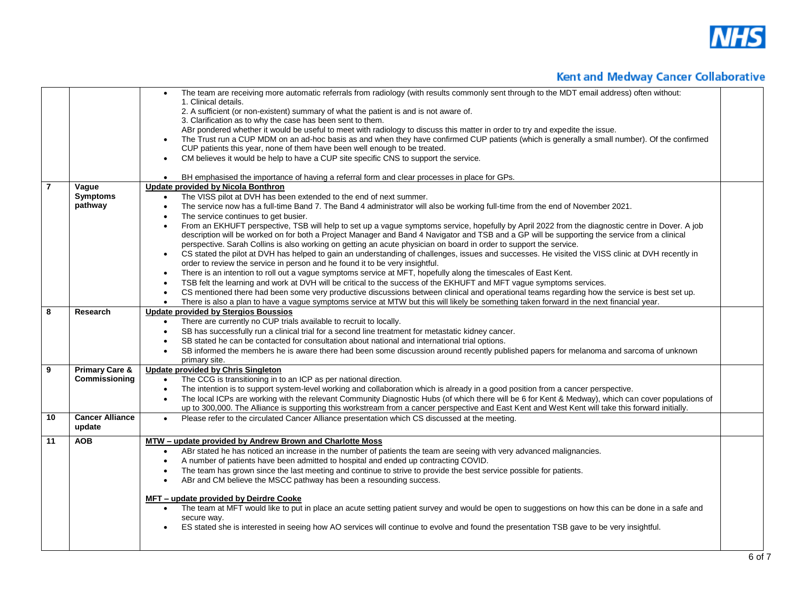

|                |                           | The team are receiving more automatic referrals from radiology (with results commonly sent through to the MDT email address) often without:<br>1. Clinical details.<br>2. A sufficient (or non-existent) summary of what the patient is and is not aware of.<br>3. Clarification as to why the case has been sent to them.<br>ABr pondered whether it would be useful to meet with radiology to discuss this matter in order to try and expedite the issue.<br>The Trust run a CUP MDM on an ad-hoc basis as and when they have confirmed CUP patients (which is generally a small number). Of the confirmed<br>CUP patients this year, none of them have been well enough to be treated.<br>CM believes it would be help to have a CUP site specific CNS to support the service.<br>BH emphasised the importance of having a referral form and clear processes in place for GPs.<br>$\bullet$ |  |
|----------------|---------------------------|------------------------------------------------------------------------------------------------------------------------------------------------------------------------------------------------------------------------------------------------------------------------------------------------------------------------------------------------------------------------------------------------------------------------------------------------------------------------------------------------------------------------------------------------------------------------------------------------------------------------------------------------------------------------------------------------------------------------------------------------------------------------------------------------------------------------------------------------------------------------------------------------|--|
| $\overline{7}$ | Vague                     | Update provided by Nicola Bonthron                                                                                                                                                                                                                                                                                                                                                                                                                                                                                                                                                                                                                                                                                                                                                                                                                                                             |  |
|                | <b>Symptoms</b>           | The VISS pilot at DVH has been extended to the end of next summer.                                                                                                                                                                                                                                                                                                                                                                                                                                                                                                                                                                                                                                                                                                                                                                                                                             |  |
|                | pathway                   | The service now has a full-time Band 7. The Band 4 administrator will also be working full-time from the end of November 2021.<br>$\bullet$                                                                                                                                                                                                                                                                                                                                                                                                                                                                                                                                                                                                                                                                                                                                                    |  |
|                |                           | The service continues to get busier.                                                                                                                                                                                                                                                                                                                                                                                                                                                                                                                                                                                                                                                                                                                                                                                                                                                           |  |
|                |                           | From an EKHUFT perspective, TSB will help to set up a vague symptoms service, hopefully by April 2022 from the diagnostic centre in Dover. A job                                                                                                                                                                                                                                                                                                                                                                                                                                                                                                                                                                                                                                                                                                                                               |  |
|                |                           | description will be worked on for both a Project Manager and Band 4 Navigator and TSB and a GP will be supporting the service from a clinical                                                                                                                                                                                                                                                                                                                                                                                                                                                                                                                                                                                                                                                                                                                                                  |  |
|                |                           | perspective. Sarah Collins is also working on getting an acute physician on board in order to support the service.                                                                                                                                                                                                                                                                                                                                                                                                                                                                                                                                                                                                                                                                                                                                                                             |  |
|                |                           | CS stated the pilot at DVH has helped to gain an understanding of challenges, issues and successes. He visited the VISS clinic at DVH recently in<br>$\bullet$                                                                                                                                                                                                                                                                                                                                                                                                                                                                                                                                                                                                                                                                                                                                 |  |
|                |                           | order to review the service in person and he found it to be very insightful.                                                                                                                                                                                                                                                                                                                                                                                                                                                                                                                                                                                                                                                                                                                                                                                                                   |  |
|                |                           | There is an intention to roll out a vague symptoms service at MFT, hopefully along the timescales of East Kent.<br>$\bullet$                                                                                                                                                                                                                                                                                                                                                                                                                                                                                                                                                                                                                                                                                                                                                                   |  |
|                |                           | TSB felt the learning and work at DVH will be critical to the success of the EKHUFT and MFT vague symptoms services.                                                                                                                                                                                                                                                                                                                                                                                                                                                                                                                                                                                                                                                                                                                                                                           |  |
|                |                           | CS mentioned there had been some very productive discussions between clinical and operational teams regarding how the service is best set up.<br>$\bullet$                                                                                                                                                                                                                                                                                                                                                                                                                                                                                                                                                                                                                                                                                                                                     |  |
| 8              | Research                  | There is also a plan to have a vague symptoms service at MTW but this will likely be something taken forward in the next financial year.<br>$\bullet$<br><b>Update provided by Stergios Boussios</b>                                                                                                                                                                                                                                                                                                                                                                                                                                                                                                                                                                                                                                                                                           |  |
|                |                           | There are currently no CUP trials available to recruit to locally.                                                                                                                                                                                                                                                                                                                                                                                                                                                                                                                                                                                                                                                                                                                                                                                                                             |  |
|                |                           | SB has successfully run a clinical trial for a second line treatment for metastatic kidney cancer.                                                                                                                                                                                                                                                                                                                                                                                                                                                                                                                                                                                                                                                                                                                                                                                             |  |
|                |                           | SB stated he can be contacted for consultation about national and international trial options.                                                                                                                                                                                                                                                                                                                                                                                                                                                                                                                                                                                                                                                                                                                                                                                                 |  |
|                |                           | SB informed the members he is aware there had been some discussion around recently published papers for melanoma and sarcoma of unknown                                                                                                                                                                                                                                                                                                                                                                                                                                                                                                                                                                                                                                                                                                                                                        |  |
|                |                           | primary site.                                                                                                                                                                                                                                                                                                                                                                                                                                                                                                                                                                                                                                                                                                                                                                                                                                                                                  |  |
| 9              | <b>Primary Care &amp;</b> | <b>Update provided by Chris Singleton</b>                                                                                                                                                                                                                                                                                                                                                                                                                                                                                                                                                                                                                                                                                                                                                                                                                                                      |  |
|                | Commissioning             | The CCG is transitioning in to an ICP as per national direction.<br>$\bullet$                                                                                                                                                                                                                                                                                                                                                                                                                                                                                                                                                                                                                                                                                                                                                                                                                  |  |
|                |                           | The intention is to support system-level working and collaboration which is already in a good position from a cancer perspective.<br>$\bullet$                                                                                                                                                                                                                                                                                                                                                                                                                                                                                                                                                                                                                                                                                                                                                 |  |
|                |                           | The local ICPs are working with the relevant Community Diagnostic Hubs (of which there will be 6 for Kent & Medway), which can cover populations of                                                                                                                                                                                                                                                                                                                                                                                                                                                                                                                                                                                                                                                                                                                                            |  |
|                |                           | up to 300,000. The Alliance is supporting this workstream from a cancer perspective and East Kent and West Kent will take this forward initially.                                                                                                                                                                                                                                                                                                                                                                                                                                                                                                                                                                                                                                                                                                                                              |  |
| 10             | <b>Cancer Alliance</b>    | Please refer to the circulated Cancer Alliance presentation which CS discussed at the meeting.<br>$\bullet$                                                                                                                                                                                                                                                                                                                                                                                                                                                                                                                                                                                                                                                                                                                                                                                    |  |
|                | update                    |                                                                                                                                                                                                                                                                                                                                                                                                                                                                                                                                                                                                                                                                                                                                                                                                                                                                                                |  |
| 11             | <b>AOB</b>                | MTW - update provided by Andrew Brown and Charlotte Moss                                                                                                                                                                                                                                                                                                                                                                                                                                                                                                                                                                                                                                                                                                                                                                                                                                       |  |
|                |                           | ABr stated he has noticed an increase in the number of patients the team are seeing with very advanced malignancies.                                                                                                                                                                                                                                                                                                                                                                                                                                                                                                                                                                                                                                                                                                                                                                           |  |
|                |                           | A number of patients have been admitted to hospital and ended up contracting COVID.                                                                                                                                                                                                                                                                                                                                                                                                                                                                                                                                                                                                                                                                                                                                                                                                            |  |
|                |                           | The team has grown since the last meeting and continue to strive to provide the best service possible for patients.<br>$\bullet$                                                                                                                                                                                                                                                                                                                                                                                                                                                                                                                                                                                                                                                                                                                                                               |  |
|                |                           | ABr and CM believe the MSCC pathway has been a resounding success.                                                                                                                                                                                                                                                                                                                                                                                                                                                                                                                                                                                                                                                                                                                                                                                                                             |  |
|                |                           | MFT - update provided by Deirdre Cooke                                                                                                                                                                                                                                                                                                                                                                                                                                                                                                                                                                                                                                                                                                                                                                                                                                                         |  |
|                |                           | The team at MFT would like to put in place an acute setting patient survey and would be open to suggestions on how this can be done in a safe and<br>$\bullet$                                                                                                                                                                                                                                                                                                                                                                                                                                                                                                                                                                                                                                                                                                                                 |  |
|                |                           | secure way.                                                                                                                                                                                                                                                                                                                                                                                                                                                                                                                                                                                                                                                                                                                                                                                                                                                                                    |  |
|                |                           | ES stated she is interested in seeing how AO services will continue to evolve and found the presentation TSB gave to be very insightful.                                                                                                                                                                                                                                                                                                                                                                                                                                                                                                                                                                                                                                                                                                                                                       |  |
|                |                           |                                                                                                                                                                                                                                                                                                                                                                                                                                                                                                                                                                                                                                                                                                                                                                                                                                                                                                |  |
|                |                           |                                                                                                                                                                                                                                                                                                                                                                                                                                                                                                                                                                                                                                                                                                                                                                                                                                                                                                |  |